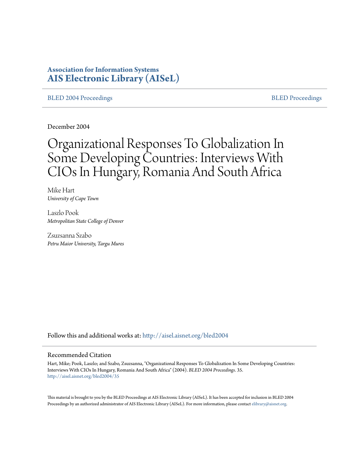# **Association for Information Systems [AIS Electronic Library \(AISeL\)](http://aisel.aisnet.org?utm_source=aisel.aisnet.org%2Fbled2004%2F35&utm_medium=PDF&utm_campaign=PDFCoverPages)**

#### [BLED 2004 Proceedings](http://aisel.aisnet.org/bled2004?utm_source=aisel.aisnet.org%2Fbled2004%2F35&utm_medium=PDF&utm_campaign=PDFCoverPages) and the state of the state of the [BLED Proceedings](http://aisel.aisnet.org/bled?utm_source=aisel.aisnet.org%2Fbled2004%2F35&utm_medium=PDF&utm_campaign=PDFCoverPages) and the BLED Proceedings and the BLED Proceedings and the BLED Proceedings and the BLED Proceedings and the BLED Proceedings and the BLED Proceedings

December 2004

# Organizational Responses To Globalization In Some Developing Countries: Interviews With CIOs In Hungary, Romania And South Africa

Mike Hart *University of Cape Town*

Laszlo Pook *Metropolitan State College of Denver*

Zsuzsanna Szabo *Petru Maior University, Targu Mures*

Follow this and additional works at: [http://aisel.aisnet.org/bled2004](http://aisel.aisnet.org/bled2004?utm_source=aisel.aisnet.org%2Fbled2004%2F35&utm_medium=PDF&utm_campaign=PDFCoverPages)

#### Recommended Citation

Hart, Mike; Pook, Laszlo; and Szabo, Zsuzsanna, "Organizational Responses To Globalization In Some Developing Countries: Interviews With CIOs In Hungary, Romania And South Africa" (2004). *BLED 2004 Proceedings*. 35. [http://aisel.aisnet.org/bled2004/35](http://aisel.aisnet.org/bled2004/35?utm_source=aisel.aisnet.org%2Fbled2004%2F35&utm_medium=PDF&utm_campaign=PDFCoverPages)

This material is brought to you by the BLED Proceedings at AIS Electronic Library (AISeL). It has been accepted for inclusion in BLED 2004 Proceedings by an authorized administrator of AIS Electronic Library (AISeL). For more information, please contact [elibrary@aisnet.org](mailto:elibrary@aisnet.org%3E).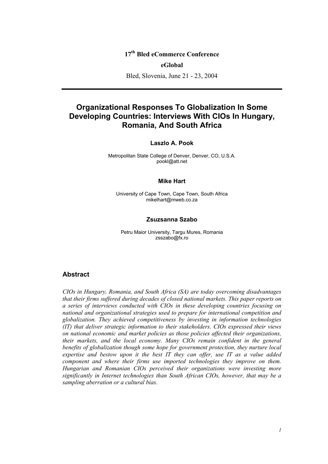## **17th Bled eCommerce Conference**

#### **eGlobal**

Bled, Slovenia, June 21 - 23, 2004

# **Organizational Responses To Globalization In Some Developing Countries: Interviews With CIOs In Hungary, Romania, And South Africa**

#### **Laszlo A. Pook**

Metropolitan State College of Denver, Denver, CO, U.S.A. pookl@att.net

#### **Mike Hart**

University of Cape Town, Cape Town, South Africa mikelhart@mweb.co.za

#### **Zsuzsanna Szabo**

Petru Maior University, Targu Mures, Romania zsszabo@fx.ro

## **Abstract**

*CIOs in Hungary, Romania, and South Africa (SA) are today overcoming disadvantages that their firms suffered during decades of closed national markets. This paper reports on a series of interviews conducted with CIOs in these developing countries focusing on national and organizational strategies used to prepare for international competition and globalization. They achieved competitiveness by investing in information technologies (IT) that deliver strategic information to their stakeholders. CIOs expressed their views on national economic and market policies as those policies affected their organizations, their markets, and the local economy. Many CIOs remain confident in the general benefits of globalization though some hope for government protection, they nurture local expertise and bestow upon it the best IT they can offer, use IT as a value added component and where their firms use imported technologies they improve on them. Hungarian and Romanian CIOs perceived their organizations were investing more significantly in Internet technologies than South African CIOs, however, that may be a sampling aberration or a cultural bias.*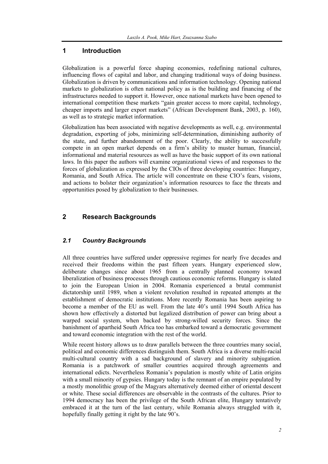## **1 Introduction**

Globalization is a powerful force shaping economies, redefining national cultures, influencing flows of capital and labor, and changing traditional ways of doing business. Globalization is driven by communications and information technology. Opening national markets to globalization is often national policy as is the building and financing of the infrastructures needed to support it. However, once national markets have been opened to international competition these markets "gain greater access to more capital, technology, cheaper imports and larger export markets" (African Development Bank, 2003, p. 160), as well as to strategic market information.

Globalization has been associated with negative developments as well, e.g. environmental degradation, exporting of jobs, minimizing self-determination, diminishing authority of the state, and further abandonment of the poor. Clearly, the ability to successfully compete in an open market depends on a firm's ability to muster human, financial, informational and material resources as well as have the basic support of its own national laws. In this paper the authors will examine organizational views of and responses to the forces of globalization as expressed by the CIOs of three developing countries: Hungary, Romania, and South Africa. The article will concentrate on these CIO's fears, visions, and actions to bolster their organization's information resources to face the threats and opportunities posed by globalization to their businesses.

## **2 Research Backgrounds**

## *2.1 Country Backgrounds*

All three countries have suffered under oppressive regimes for nearly five decades and received their freedoms within the past fifteen years. Hungary experienced slow, deliberate changes since about 1965 from a centrally planned economy toward liberalization of business processes through cautious economic reforms. Hungary is slated to join the European Union in 2004. Romania experienced a brutal communist dictatorship until 1989, when a violent revolution resulted in repeated attempts at the establishment of democratic institutions. More recently Romania has been aspiring to become a member of the EU as well. From the late 40's until 1994 South Africa has shown how effectively a distorted but legalized distribution of power can bring about a warped social system, when backed by strong-willed security forces. Since the banishment of apartheid South Africa too has embarked toward a democratic government and toward economic integration with the rest of the world.

While recent history allows us to draw parallels between the three countries many social, political and economic differences distinguish them. South Africa is a diverse multi-racial multi-cultural country with a sad background of slavery and minority subjugation. Romania is a patchwork of smaller countries acquired through agreements and international edicts. Nevertheless Romania's population is mostly white of Latin origins with a small minority of gypsies. Hungary today is the remnant of an empire populated by a mostly monolithic group of the Magyars alternatively deemed either of oriental descent or white. These social differences are observable in the contrasts of the cultures. Prior to 1994 democracy has been the privilege of the South African elite, Hungary tentatively embraced it at the turn of the last century, while Romania always struggled with it, hopefully finally getting it right by the late 90's.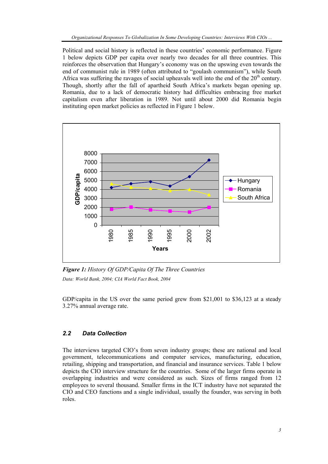Political and social history is reflected in these countries' economic performance. Figure 1 below depicts GDP per capita over nearly two decades for all three countries. This reinforces the observation that Hungary's economy was on the upswing even towards the end of communist rule in 1989 (often attributed to "goulash communism"), while South Africa was suffering the ravages of social upheavals well into the end of the  $20<sup>th</sup>$  century. Though, shortly after the fall of apartheid South Africa's markets began opening up. Romania, due to a lack of democratic history had difficulties embracing free market capitalism even after liberation in 1989. Not until about 2000 did Romania begin instituting open market policies as reflected in Figure 1 below.



*Figure 1: History Of GDP/Capita Of The Three Countries Data: World Bank, 2004; CIA World Fact Book, 2004* 

GDP/capita in the US over the same period grew from \$21,001 to \$36,123 at a steady 3.27% annual average rate.

#### *2.2 Data Collection*

The interviews targeted CIO's from seven industry groups; these are national and local government, telecommunications and computer services, manufacturing, education, retailing, shipping and transportation, and financial and insurance services. Table 1 below depicts the CIO interview structure for the countries. Some of the larger firms operate in overlapping industries and were considered as such. Sizes of firms ranged from 12 employees to several thousand. Smaller firms in the ICT industry have not separated the CIO and CEO functions and a single individual, usually the founder, was serving in both roles.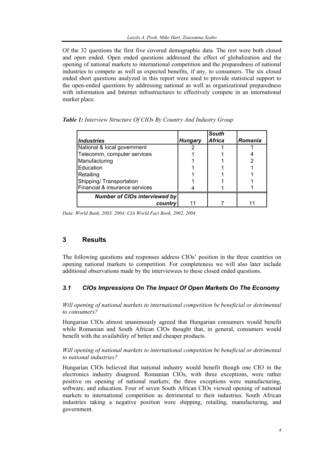Of the 32 questions the first five covered demographic data. The rest were both closed and open ended. Open ended questions addressed the effect of globalization and the opening of national markets to international competition and the preparedness of national industries to compete as well as expected benefits, if any, to consumers. The six closed ended short questions analyzed in this report were used to provide statistical support to the open-ended questions by addressing national as well as organizational preparedness with information and Internet infrastructures to effectively compete in an international market place.

|                                      |                | <b>South</b> |         |
|--------------------------------------|----------------|--------------|---------|
| <b>Industries</b>                    | <b>Hungary</b> | Africa       | Romania |
| National & local government          |                |              |         |
| Telecomm, computer services          |                |              |         |
| Manufacturing                        |                |              |         |
| Education                            |                |              |         |
| Retailing                            |                |              |         |
| Shipping/ Transportation             |                |              |         |
| Financial & insurance services       |                |              |         |
| <b>Number of CIOs interviewed by</b> |                |              |         |
| country                              |                |              |         |

*Table 1: Interview Structure Of CIOs By Country And Industry Group* 

*Data: World Bank, 2003, 2004; CIA World Fact Book, 2002, 2004* 

## **3 Results**

The following questions and responses address CIOs' position in the three countries on opening national markets to competition. For completeness we will also later include additional observations made by the interviewees to these closed ended questions.

## *3.1 CIOs Impressions On The Impact Of Open Markets On The Economy*

*Will opening of national markets to international competition be beneficial or detrimental to consumers?* 

Hungarian CIOs almost unanimously agreed that Hungarian consumers would benefit while Romanian and South African CIOs thought that, in general, consumers would benefit with the availability of better and cheaper products.

#### *Will opening of national markets to international competition be beneficial or detrimental to national industries?*

Hungarian CIOs believed that national industry would benefit though one CIO in the electronics industry disagreed. Romanian CIOs, with three exceptions, were rather positive on opening of national markets; the three exceptions were manufacturing, software, and education. Four of seven South African CIOs viewed opening of national markets to international competition as detrimental to their industries. South African industries taking a negative position were shipping, retailing, manufacturing, and government.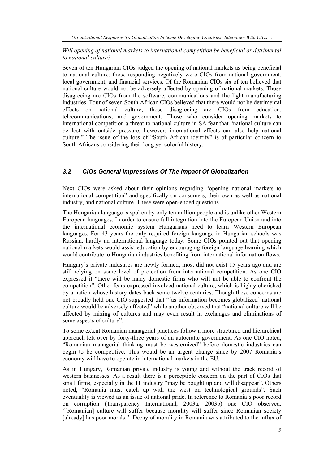## *Will opening of national markets to international competition be beneficial or detrimental to national culture?*

Seven of ten Hungarian CIOs judged the opening of national markets as being beneficial to national culture; those responding negatively were CIOs from national government, local government, and financial services. Of the Romanian CIOs six of ten believed that national culture would not be adversely affected by opening of national markets. Those disagreeing are CIOs from the software, communications and the light manufacturing industries. Four of seven South African CIOs believed that there would not be detrimental effects on national culture; those disagreeing are CIOs from education, telecommunications, and government. Those who consider opening markets to international competition a threat to national culture in SA fear that "national culture can be lost with outside pressure, however; international effects can also help national culture." The issue of the loss of "South African identity" is of particular concern to South Africans considering their long yet colorful history.

## *3.2 CIOs General Impressions Of The Impact Of Globalization*

Next CIOs were asked about their opinions regarding "opening national markets to international competition" and specifically on consumers, their own as well as national industry, and national culture. These were open-ended questions.

The Hungarian language is spoken by only ten million people and is unlike other Western European languages. In order to ensure full integration into the European Union and into the international economic system Hungarians need to learn Western European languages. For 43 years the only required foreign language in Hungarian schools was Russian, hardly an international language today. Some CIOs pointed out that opening national markets would assist education by encouraging foreign language learning which would contribute to Hungarian industries benefiting from international information flows.

Hungary's private industries are newly formed; most did not exist 15 years ago and are still relying on some level of protection from international competition. As one CIO expressed it "there will be many domestic firms who will not be able to confront the competition". Other fears expressed involved national culture, which is highly cherished by a nation whose history dates back some twelve centuries. Though these concerns are not broadly held one CIO suggested that "[as information becomes globalized] national culture would be adversely affected" while another observed that "national culture will be affected by mixing of cultures and may even result in exchanges and eliminations of some aspects of culture".

To some extent Romanian managerial practices follow a more structured and hierarchical approach left over by forty-three years of an autocratic government. As one CIO noted, "Romanian managerial thinking must be westernized" before domestic industries can begin to be competitive. This would be an urgent change since by 2007 Romania's economy will have to operate in international markets in the EU.

As in Hungary, Romanian private industry is young and without the track record of western businesses. As a result there is a perceptible concern on the part of CIOs that small firms, especially in the IT industry "may be bought up and will disappear". Others noted, "Romania must catch up with the west on technological grounds". Such eventuality is viewed as an issue of national pride. In reference to Romania's poor record on corruption (Transparency International, 2003a, 2003b) one CIO observed, "[Romanian] culture will suffer because morality will suffer since Romanian society [already] has poor morals." Decay of morality in Romania was attributed to the influx of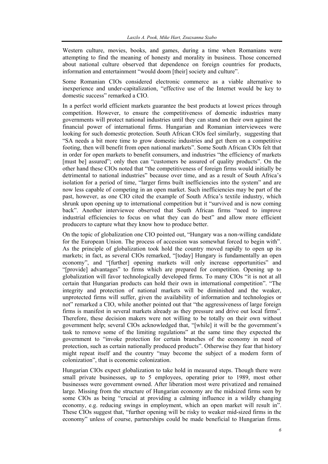Western culture, movies, books, and games, during a time when Romanians were attempting to find the meaning of honesty and morality in business. Those concerned about national culture observed that dependence on foreign countries for products, information and entertainment "would doom [their] society and culture".

Some Romanian CIOs considered electronic commerce as a viable alternative to inexperience and under-capitalization, "effective use of the Internet would be key to domestic success" remarked a CIO.

In a perfect world efficient markets guarantee the best products at lowest prices through competition. However, to ensure the competitiveness of domestic industries many governments will protect national industries until they can stand on their own against the financial power of international firms. Hungarian and Romanian interviewees were looking for such domestic protection. South African CIOs feel similarly, suggesting that "SA needs a bit more time to grow domestic industries and get them on a competitive footing, then will benefit from open national markets". Some South African CIOs felt that in order for open markets to benefit consumers, and industries "the efficiency of markets [must be] assured"; only then can "customers be assured of quality products". On the other hand these CIOs noted that "the competitiveness of foreign firms would initially be detrimental to national industries" because over time, and as a result of South Africa's isolation for a period of time, "larger firms built inefficiencies into the system" and are now less capable of competing in an open market. Such inefficiencies may be part of the past, however, as one CIO cited the example of South Africa's textile industry, which shrunk upon opening up to international competition but it "survived and is now coming back". Another interviewee observed that South African firms "need to improve industrial efficiencies to focus on what they can do best" and allow more efficient producers to capture what they know how to produce better.

On the topic of globalization one CIO pointed out, "Hungary was a non-willing candidate for the European Union. The process of accession was somewhat forced to begin with". As the principle of globalization took hold the country moved rapidly to open up its markets; in fact, as several CIOs remarked, "[today] Hungary is fundamentally an open economy", and "[further] opening markets will only increase opportunities" and "[provide] advantages" to firms which are prepared for competition. Opening up to globalization will favor technologically developed firms. To many CIOs "it is not at all certain that Hungarian products can hold their own in international competition". "The integrity and protection of national markets will be diminished and the weaker, unprotected firms will suffer, given the availability of information and technologies or not" remarked a CIO, while another pointed out that "the aggressiveness of large foreign firms is manifest in several markets already as they pressure and drive out local firms". Therefore, these decision makers were not willing to be totally on their own without government help; several CIOs acknowledged that, "[while] it will be the government's task to remove some of the limiting regulations" at the same time they expected the government to "invoke protection for certain branches of the economy in need of protection, such as certain nationally produced products". Otherwise they fear that history might repeat itself and the country "may become the subject of a modern form of colonization", that is economic colonization.

Hungarian CIOs expect globalization to take hold in measured steps. Though there were small private businesses, up to 5 employees, operating prior to 1989, most other businesses were government owned. After liberation most were privatized and remained large. Missing from the structure of Hungarian economy are the midsized firms seen by some CIOs as being "crucial at providing a calming influence in a wildly changing economy, e.g. reducing swings in employment, which an open market will result in". These CIOs suggest that, "further opening will be risky to weaker mid-sized firms in the economy" unless of course, partnerships could be made beneficial to Hungarian firms.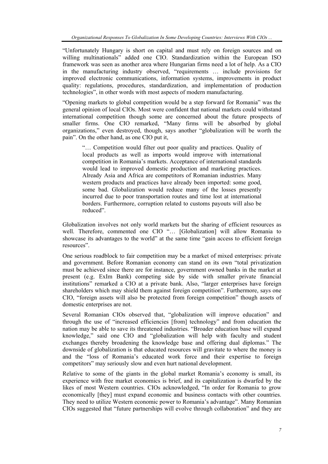"Unfortunately Hungary is short on capital and must rely on foreign sources and on willing multinationals" added one CIO. Standardization within the European ISO framework was seen as another area where Hungarian firms need a lot of help. As a CIO in the manufacturing industry observed, "requirements … include provisions for improved electronic communications, information systems, improvements in product quality: regulations, procedures, standardization, and implementation of production technologies", in other words with most aspects of modern manufacturing.

"Opening markets to global competition would be a step forward for Romania" was the general opinion of local CIOs. Most were confident that national markets could withstand international competition though some are concerned about the future prospects of smaller firms. One CIO remarked, "Many firms will be absorbed by global organizations," even destroyed, though, says another "globalization will be worth the pain". On the other hand, as one CIO put it,

"… Competition would filter out poor quality and practices. Quality of local products as well as imports would improve with international competition in Romania's markets. Acceptance of international standards would lead to improved domestic production and marketing practices. Already Asia and Africa are competitors of Romanian industries. Many western products and practices have already been imported: some good, some bad. Globalization would reduce many of the losses presently incurred due to poor transportation routes and time lost at international borders. Furthermore, corruption related to customs payouts will also be reduced".

Globalization involves not only world markets but the sharing of efficient resources as well. Therefore, commented one CIO "… [Globalization] will allow Romania to showcase its advantages to the world" at the same time "gain access to efficient foreign resources".

One serious roadblock to fair competition may be a market of mixed enterprises: private and government. Before Romanian economy can stand on its own "total privatization must be achieved since there are for instance, government owned banks in the market at present (e.g. ExIm Bank) competing side by side with smaller private financial institutions" remarked a CIO at a private bank. Also, "larger enterprises have foreign shareholders which may shield them against foreign competition". Furthermore, says one CIO, "foreign assets will also be protected from foreign competition" though assets of domestic enterprises are not.

Several Romanian CIOs observed that, "globalization will improve education" and through the use of "increased efficiencies [from] technology" and from education the nation may be able to save its threatened industries. "Broader education base will expand knowledge," said one CIO and "globalization will help with faculty and student exchanges thereby broadening the knowledge base and offering dual diplomas." The downside of globalization is that educated resources will gravitate to where the money is and the "loss of Romania's educated work force and their expertise to foreign competitors" may seriously slow and even hurt national development.

Relative to some of the giants in the global market Romania's economy is small, its experience with free market economics is brief, and its capitalization is dwarfed by the likes of most Western countries. CIOs acknowledged, "In order for Romania to grow economically [they] must expand economic and business contacts with other countries. They need to utilize Western economic power to Romania's advantage". Many Romanian CIOs suggested that "future partnerships will evolve through collaboration" and they are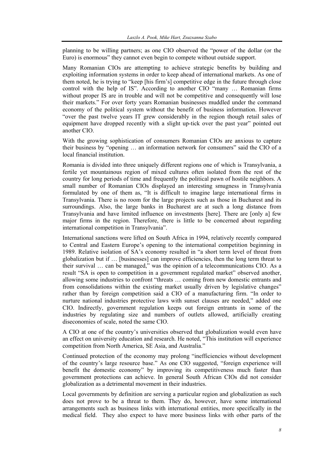planning to be willing partners; as one CIO observed the "power of the dollar (or the Euro) is enormous" they cannot even begin to compete without outside support.

Many Romanian CIOs are attempting to achieve strategic benefits by building and exploiting information systems in order to keep ahead of international markets. As one of them noted, he is trying to "keep [his firm's] competitive edge in the future through close control with the help of IS". According to another CIO "many … Romanian firms without proper IS are in trouble and will not be competitive and consequently will lose their markets." For over forty years Romanian businesses muddled under the command economy of the political system without the benefit of business information. However "over the past twelve years IT grew considerably in the region though retail sales of equipment have dropped recently with a slight up-tick over the past year" pointed out another CIO.

With the growing sophistication of consumers Romanian CIOs are anxious to capture their business by "opening … an information network for consumers" said the CIO of a local financial institution.

Romania is divided into three uniquely different regions one of which is Transylvania, a fertile yet mountainous region of mixed cultures often isolated from the rest of the country for long periods of time and frequently the political pawn of hostile neighbors. A small number of Romanian CIOs displayed an interesting smugness in Transylvania formulated by one of them as, "It is difficult to imagine large international firms in Transylvania. There is no room for the large projects such as those in Bucharest and its surroundings. Also, the large banks in Bucharest are at such a long distance from Transylvania and have limited influence on investments [here]. There are [only a] few major firms in the region. Therefore, there is little to be concerned about regarding international competition in Transylvania".

International sanctions were lifted on South Africa in 1994, relatively recently compared to Central and Eastern Europe's opening to the international competition beginning in 1989. Relative isolation of SA's economy resulted in "a short term level of threat from globalization but if … [businesses] can improve efficiencies, then the long term threat to their survival … can be managed," was the opinion of a telecommunications CIO. As a result "SA is open to competition in a government regulated market" observed another, allowing some industries to confront "threats … coming from new domestic entrants and from consolidations within the existing market usually driven by legislative changes" rather than by foreign competition said a CIO of a manufacturing firm. "In order to nurture national industries protective laws with sunset clauses are needed," added one CIO. Indirectly, government regulation keeps out foreign entrants in some of the industries by regulating size and numbers of outlets allowed, artificially creating diseconomies of scale, noted the same CIO.

A CIO at one of the country's universities observed that globalization would even have an effect on university education and research. He noted, "This institution will experience competition from North America, SE Asia, and Australia."

Continued protection of the economy may prolong "inefficiencies without development of the country's large resource base." As one CIO suggested, "foreign experience will benefit the domestic economy" by improving its competitiveness much faster than government protections can achieve. In general South African CIOs did not consider globalization as a detrimental movement in their industries.

Local governments by definition are serving a particular region and globalization as such does not prove to be a threat to them. They do, however, have some international arrangements such as business links with international entities, more specifically in the medical field. They also expect to have more business links with other parts of the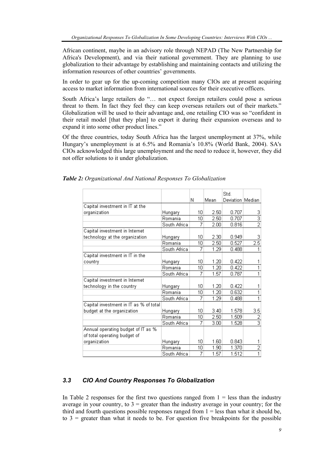African continent, maybe in an advisory role through NEPAD (The New Partnership for Africa's Development), and via their national government. They are planning to use globalization to their advantage by establishing and maintaining contacts and utilizing the information resources of other countries' governments.

In order to gear up for the up-coming competition many CIOs are at present acquiring access to market information from international sources for their executive officers.

South Africa's large retailers do "… not expect foreign retailers could pose a serious threat to them. In fact they feel they can keep overseas retailers out of their markets." Globalization will be used to their advantage and, one retailing CIO was so "confident in their retail model [that they plan] to export it during their expansion overseas and to expand it into some other product lines."

Of the three countries, today South Africa has the largest unemployment at 37%, while Hungary's unemployment is at 6.5% and Romania's 10.8% (World Bank, 2004). SA's CIOs acknowledged this large unemployment and the need to reduce it, however, they did not offer solutions to it under globalization.

|                                        |              |    |      | Std.             |                  |
|----------------------------------------|--------------|----|------|------------------|------------------|
|                                        |              | Ν  | Mean | Deviation Median |                  |
| Capital investment in IT at the        |              |    |      |                  |                  |
| organization                           | Hungary      | 10 | 2.50 | 0.707            |                  |
|                                        | Romania      | 10 | 2.50 | 0.707            |                  |
|                                        | South Africa | 7  | 2.00 | 0.816            | $\frac{3}{2}$    |
| Capital investment in Internet         |              |    |      |                  |                  |
| technology at the organization         | Hungary      | 10 | 2.30 | 0.949            | з                |
|                                        | Romania      | 10 | 2.50 | 0.527            | $\overline{2.5}$ |
|                                        | South Africa | 7  | 1.29 | 0.488            |                  |
| Capital investment in IT in the        |              |    |      |                  |                  |
| country                                | Hungary      | 10 | 1.20 | 0.422            | 1                |
|                                        | Romania      | 10 | 1.20 | 0.422            | 1                |
|                                        | South Africa | 7  | 1.57 | 0.787            | 1                |
| Capital investment in Internet         |              |    |      |                  |                  |
| technology in the country              | Hungary      | 10 | 1.20 | 0.422            | 1                |
|                                        | Romania      | 10 | 1.20 | 0.632            | 1                |
|                                        | South Africa | 7  | 1.29 | 0.488            | 1                |
| Capital investment in IT as % of total |              |    |      |                  |                  |
| budget at the organization             | Hungary      | 10 | 3.40 | 1.578            | 3.5              |
|                                        | Romania      | 10 | 2.50 | 1.509            | $\frac{2}{3}$    |
|                                        | South Africa | 7  | 3.00 | 1.528            |                  |
| Annual operating budget of IT as %     |              |    |      |                  |                  |
| of total operating budget of           |              |    |      |                  |                  |
| organization                           | Hungary      | 10 | 1.60 | 0.843            | 1                |
|                                        | Romania      | 10 | 1.90 | 1.370            | $\overline{2}$   |
|                                        | South Africa | 7  | 1.57 | 1.512            | $\overline{1}$   |

*Table 2: Organizational And National Responses To Globalization* 

## *3.3 CIO And Country Responses To Globalization*

In Table 2 responses for the first two questions ranged from  $1 =$  less than the industry average in your country, to  $3 =$  greater than the industry average in your country; for the third and fourth questions possible responses ranged from  $1 =$  less than what it should be, to  $3$  = greater than what it needs to be. For question five breakpoints for the possible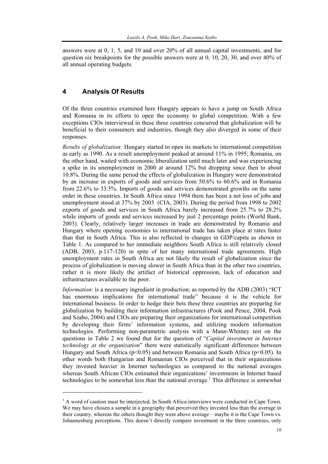answers were at 0, 1, 5, and 10 and over 20% of all annual capital investments, and for question six breakpoints for the possible answers were at 0, 10, 20, 30, and over 40% of all annual operating budgets.

## **4 Analysis Of Results**

l

Of the three countries examined here Hungary appears to have a jump on South Africa and Romania in its efforts to open the economy to global competition. With a few exceptions CIOs interviewed in these three countries concurred that globalization will be beneficial to their consumers and industries, though they also diverged in some of their responses.

*Results of globalization:* Hungary started to open its markets to international competition as early as 1990. As a result unemployment peaked at around 11% in 1995; Romania, on the other hand, waited with economic liberalization until much later and was experiencing a spike in its unemployment in 2000 at around 12% but dropping since then to about 10.8%. During the same period the effects of globalization in Hungary were demonstrated by an increase in exports of goods and services from 50.6% to 60.6% and in Romania from 22.6% to 33.5%. Imports of goods and services demonstrated growths on the same order in these countries. In South Africa since 1994 there has been a net loss of jobs and unemployment stood at 37% by 2003 (CIA, 2003). During the period from 1998 to 2002 exports of goods and services in South Africa barely increased from 25.7% to 28.2% while imports of goods and services increased by just 2 percentage points (World Bank, 2003). Clearly, relatively larger increases in trade are demonstrated by Romania and Hungary where opening economies to international trade has taken place at rates faster than that in South Africa. This is also reflected in changes in GDP/capita as shown in Table 1. As compared to her immediate neighbors South Africa is still relatively closed (ADB, 2003, p.117-120) in spite of her many international trade agreements. High unemployment rates in South Africa are not likely the result of globalization since the process of globalization is moving slower in South Africa than in the other two countries, rather it is more likely the artifact of historical oppression, lack of education and infrastructures available to the poor.

*Information*: is a necessary ingredient in production; as reported by the ADB (2003) "ICT has enormous implications for international trade" because it is the vehicle for international business. In order to hedge their bets these three countries are preparing for globalization by building their information infrastructures (Pook and Pence, 2004, Pook and Szabo, 2004) and CIOs are preparing their organizations for international competition by developing their firms' information systems, and utilizing modern information technologies. Performing non-parametric analysis with a Mann-Whitney test on the questions in Table 2 we found that for the question of "*Capital investment in Internet technology at the organization*" there were statistically significant differences between Hungary and South Africa ( $p<0.05$ ) and between Romania and South Africa ( $p<0.05$ ). In other words both Hungarian and Romanian CIOs perceived that in their organizations they invested heavier in Internet technologies as compared to the national averages whereas South African CIOs estimated their organizations' investments in Internet based technologies to be somewhat less than the national average.<sup>1</sup> This difference is somewhat

<sup>&</sup>lt;sup>1</sup> A word of caution must be interjected. In South Africa interviews were conducted in Cape Town. We may have chosen a sample in a geography that perceived they invested less than the average in their country, whereas the others thought they were above average – maybe it is the Cape Town vs. Johannesburg perceptions. This doesn't directly compare investment in the three countries, only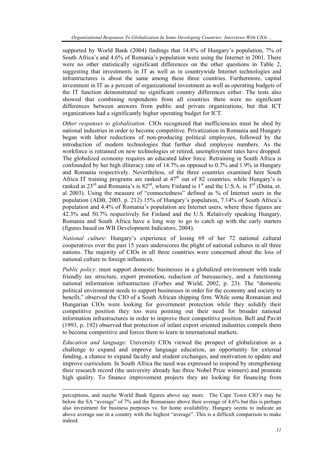supported by World Bank (2004) findings that 14.8% of Hungary's population, 7% of South Africa's and 4.6% of Romania's population were using the Internet in 2001. There were no other statistically significant differences on the other questions in Table 2, suggesting that investments in IT as well as in countrywide Internet technologies and infrastructures is about the same among these three countries. Furthermore, capital investment in IT as a percent of organizational investment as well as operating budgets of the IT function demonstrated no significant country differences either. The tests also showed that combining respondents from all countries there were no significant differences between answers from public and private organizations, but that ICT organizations had a significantly higher operating budget for ICT.

*Other responses to globalization:* CIOs recognized that inefficiencies must be shed by national industries in order to become competitive. Privatization in Romania and Hungary began with labor reductions of non-producing political employees, followed by the introduction of modern technologies that further shed employee numbers. As the workforce is retrained on new technologies or retired, unemployment rates have dropped. The globalized economy requires an educated labor force. Retraining in South Africa is confounded by her high illiteracy rate of 14.7% as opposed to 0.7% and 1.9% in Hungary and Romania respectively. Nevertheless, of the three countries examined here South Africa IT training programs are ranked at  $47<sup>th</sup>$  out of 82 countries, while Hungary's is ranked at  $23^{rd}$  and Romania's is  $82^{nd}$ , where Finland is  $1^{st}$  and the U.S.A. is  $3^{rd}$  (Dutta, et. al 2003). Using the measure of "connectedness" defined as % of Internet users in the population (ADB, 2003, p. 212) 15% of Hungary's population, 7.14% of South Africa's population and 4.4% of Romania's population are Internet users, where these figures are 42.3% and 50.7% respectively for Finland and the U.S. Relatively speaking Hungary, Romania and South Africa have a long way to go to catch up with the early starters (figures based on WB Development Indicators, 2004).

*National culture*: Hungary's experience of losing 69 of her 72 national cultural cooperatives over the past 15 years underscores the plight of national cultures in all three nations. The majority of CIOs in all three countries were concerned about the loss of national culture to foreign influences.

*Public policy*: must support domestic businesses in a globalized environment with trade friendly tax structure, export promotion, reduction of bureaucracy, and a functioning national information infrastructure (Forbes and Wield, 2002, p. 23). The "domestic political environment needs to support businesses in order for the economy and society to benefit," observed the CIO of a South African shipping firm. While some Romanian and Hungarian CIOs were looking for government protection while they solidify their competitive position they too were pointing out their need for broader national information infrastructures in order to improve their competitive position. Bell and Pavitt (1993, p. 192) observed that protection of infant export oriented industries compels them to become competitive and forces them to learn in international markets.

*Education and language:* University CIOs viewed the prospect of globalization as a challenge to expand and improve language education, an opportunity for external funding, a chance to expand faculty and student exchanges, and motivation to update and improve curriculum. In South Africa the need was expressed to respond by strengthening their research record (the university already has three Nobel Prize winners) and promote high quality. To finance improvement projects they are looking for financing from

l

perceptions, and maybe World Bank figures above say more. The Cape Town CIO's may be below the SA "average" of 7% and the Romanians above their average of 4.6% but this is perhaps also investment for business purposes vs. for home availability. Hungary seems to indicate an above average use in a country with the highest "average". This is a difficult comparison to make indeed.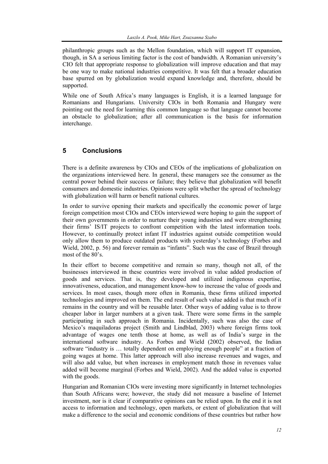philanthropic groups such as the Mellon foundation, which will support IT expansion, though, in SA a serious limiting factor is the cost of bandwidth. A Romanian university's CIO felt that appropriate response to globalization will improve education and that may be one way to make national industries competitive. It was felt that a broader education base spurred on by globalization would expand knowledge and, therefore, should be supported.

While one of South Africa's many languages is English, it is a learned language for Romanians and Hungarians. University CIOs in both Romania and Hungary were pointing out the need for learning this common language so that language cannot become an obstacle to globalization; after all communication is the basis for information interchange.

## **5 Conclusions**

There is a definite awareness by CIOs and CEOs of the implications of globalization on the organizations interviewed here. In general, these managers see the consumer as the central power behind their success or failure; they believe that globalization will benefit consumers and domestic industries. Opinions were split whether the spread of technology with globalization will harm or benefit national cultures.

In order to survive opening their markets and specifically the economic power of large foreign competition most CIOs and CEOs interviewed were hoping to gain the support of their own governments in order to nurture their young industries and were strengthening their firms' IS/IT projects to confront competition with the latest information tools. However, to continually protect infant IT industries against outside competition would only allow them to produce outdated products with yesterday's technology (Forbes and Wield, 2002, p. 56) and forever remain as "infants". Such was the case of Brazil through most of the 80's.

In their effort to become competitive and remain so many, though not all, of the businesses interviewed in these countries were involved in value added production of goods and services. That is, they developed and utilized indigenous expertise, innovativeness, education, and management know-how to increase the value of goods and services. In most cases, though more often in Romania, these firms utilized imported technologies and improved on them. The end result of such value added is that much of it remains in the country and will be reusable later. Other ways of adding value is to throw cheaper labor in larger numbers at a given task. There were some firms in the sample participating in such approach in Romania. Incidentally, such was also the case of Mexico's maquiladoras project (Smith and Lindblad, 2003) where foreign firms took advantage of wages one tenth those at home, as well as of India's surge in the international software industry. As Forbes and Wield (2002) observed, the Indian software "industry is … totally dependent on employing enough people" at a fraction of going wages at home. This latter approach will also increase revenues and wages, and will also add value, but when increases in employment match those in revenues value added will become marginal (Forbes and Wield, 2002). And the added value is exported with the goods.

Hungarian and Romanian CIOs were investing more significantly in Internet technologies than South Africans were; however, the study did not measure a baseline of Internet investment, nor is it clear if comparative opinions can be relied upon. In the end it is not access to information and technology, open markets, or extent of globalization that will make a difference to the social and economic conditions of these countries but rather how